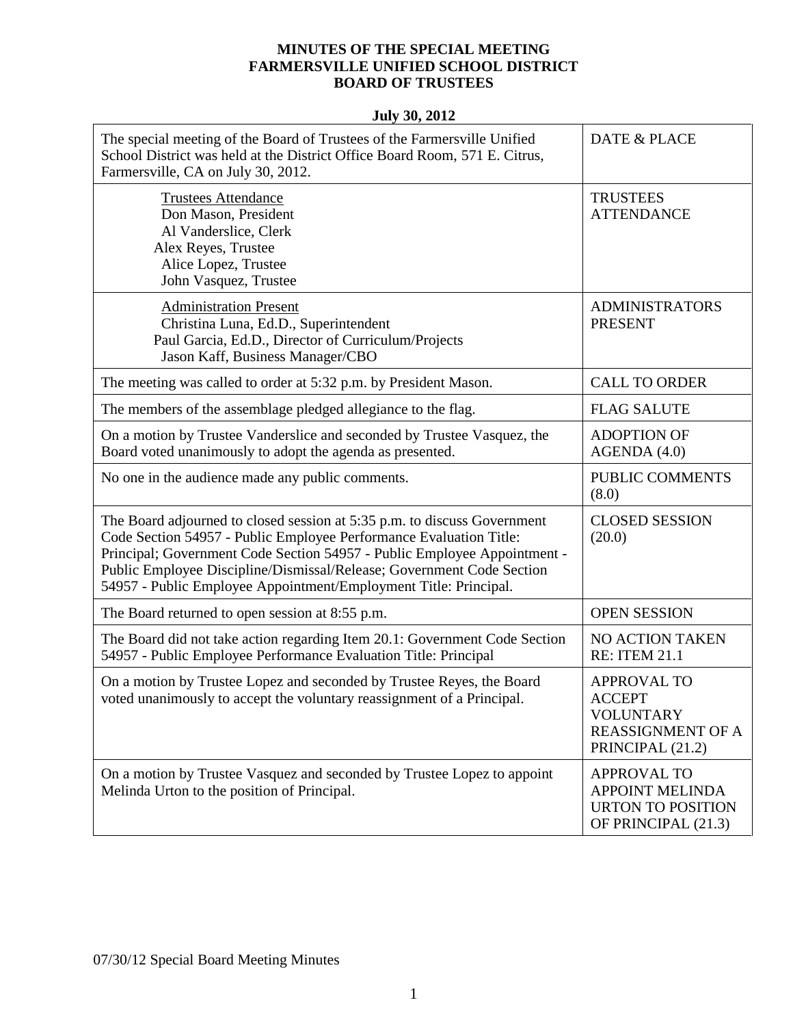## **MINUTES OF THE SPECIAL MEETING FARMERSVILLE UNIFIED SCHOOL DISTRICT BOARD OF TRUSTEES**

| The special meeting of the Board of Trustees of the Farmersville Unified<br>School District was held at the District Office Board Room, 571 E. Citrus,<br>Farmersville, CA on July 30, 2012.                                                                                                                                                                            | <b>DATE &amp; PLACE</b>                                                                                 |
|-------------------------------------------------------------------------------------------------------------------------------------------------------------------------------------------------------------------------------------------------------------------------------------------------------------------------------------------------------------------------|---------------------------------------------------------------------------------------------------------|
| <b>Trustees Attendance</b><br>Don Mason, President<br>Al Vanderslice, Clerk<br>Alex Reyes, Trustee<br>Alice Lopez, Trustee<br>John Vasquez, Trustee                                                                                                                                                                                                                     | <b>TRUSTEES</b><br><b>ATTENDANCE</b>                                                                    |
| <b>Administration Present</b><br>Christina Luna, Ed.D., Superintendent<br>Paul Garcia, Ed.D., Director of Curriculum/Projects<br>Jason Kaff, Business Manager/CBO                                                                                                                                                                                                       | <b>ADMINISTRATORS</b><br><b>PRESENT</b>                                                                 |
| The meeting was called to order at 5:32 p.m. by President Mason.                                                                                                                                                                                                                                                                                                        | <b>CALL TO ORDER</b>                                                                                    |
| The members of the assemblage pledged allegiance to the flag.                                                                                                                                                                                                                                                                                                           | <b>FLAG SALUTE</b>                                                                                      |
| On a motion by Trustee Vanderslice and seconded by Trustee Vasquez, the<br>Board voted unanimously to adopt the agenda as presented.                                                                                                                                                                                                                                    | <b>ADOPTION OF</b><br>AGENDA(4.0)                                                                       |
| No one in the audience made any public comments.                                                                                                                                                                                                                                                                                                                        | PUBLIC COMMENTS<br>(8.0)                                                                                |
| The Board adjourned to closed session at 5:35 p.m. to discuss Government<br>Code Section 54957 - Public Employee Performance Evaluation Title:<br>Principal; Government Code Section 54957 - Public Employee Appointment -<br>Public Employee Discipline/Dismissal/Release; Government Code Section<br>54957 - Public Employee Appointment/Employment Title: Principal. | <b>CLOSED SESSION</b><br>(20.0)                                                                         |
| The Board returned to open session at 8:55 p.m.                                                                                                                                                                                                                                                                                                                         | <b>OPEN SESSION</b>                                                                                     |
| The Board did not take action regarding Item 20.1: Government Code Section<br>54957 - Public Employee Performance Evaluation Title: Principal                                                                                                                                                                                                                           | NO ACTION TAKEN<br><b>RE: ITEM 21.1</b>                                                                 |
| On a motion by Trustee Lopez and seconded by Trustee Reyes, the Board<br>voted unanimously to accept the voluntary reassignment of a Principal.                                                                                                                                                                                                                         | <b>APPROVAL TO</b><br><b>ACCEPT</b><br><b>VOLUNTARY</b><br><b>REASSIGNMENT OF A</b><br>PRINCIPAL (21.2) |
| On a motion by Trustee Vasquez and seconded by Trustee Lopez to appoint<br>Melinda Urton to the position of Principal.                                                                                                                                                                                                                                                  | <b>APPROVAL TO</b><br><b>APPOINT MELINDA</b><br><b>URTON TO POSITION</b><br>OF PRINCIPAL (21.3)         |